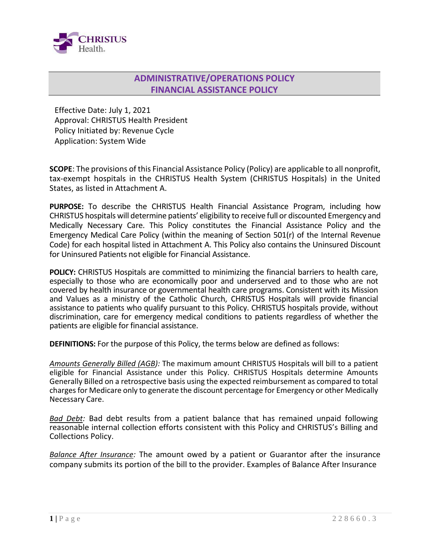

## **ADMINISTRATIVE/OPERATIONS POLICY FINANCIAL ASSISTANCE POLICY**

Effective Date: July 1, 2021 Approval: CHRISTUS Health President Policy Initiated by: Revenue Cycle Application: System Wide

**SCOPE**: The provisions of this Financial Assistance Policy (Policy) are applicable to all nonprofit, tax-exempt hospitals in the CHRISTUS Health System (CHRISTUS Hospitals) in the United States, as listed in Attachment A.

**PURPOSE:** To describe the CHRISTUS Health Financial Assistance Program, including how CHRISTUS hospitals will determine patients' eligibility to receive full or discounted Emergency and Medically Necessary Care. This Policy constitutes the Financial Assistance Policy and the Emergency Medical Care Policy (within the meaning of Section 501(r) of the Internal Revenue Code) for each hospital listed in Attachment A. This Policy also contains the Uninsured Discount for Uninsured Patients not eligible for Financial Assistance.

**POLICY:** CHRISTUS Hospitals are committed to minimizing the financial barriers to health care, especially to those who are economically poor and underserved and to those who are not covered by health insurance or governmental health care programs. Consistent with its Mission and Values as a ministry of the Catholic Church, CHRISTUS Hospitals will provide financial assistance to patients who qualify pursuant to this Policy. CHRISTUS hospitals provide, without discrimination, care for emergency medical conditions to patients regardless of whether the patients are eligible for financial assistance.

**DEFINITIONS:** For the purpose of this Policy, the terms below are defined as follows:

*Amounts Generally Billed (AGB):* The maximum amount CHRISTUS Hospitals will bill to a patient eligible for Financial Assistance under this Policy. CHRISTUS Hospitals determine Amounts Generally Billed on a retrospective basis using the expected reimbursement as compared to total charges for Medicare only to generate the discount percentage for Emergency or other Medically Necessary Care.

*Bad Debt:* Bad debt results from a patient balance that has remained unpaid following reasonable internal collection efforts consistent with this Policy and CHRISTUS's Billing and Collections Policy.

*Balance After Insurance:* The amount owed by a patient or Guarantor after the insurance company submits its portion of the bill to the provider. Examples of Balance After Insurance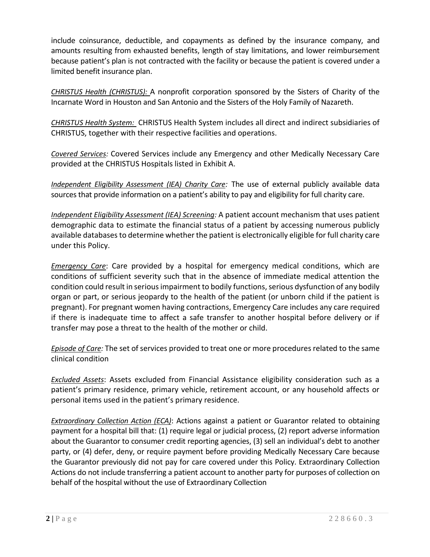include coinsurance, deductible, and copayments as defined by the insurance company, and amounts resulting from exhausted benefits, length of stay limitations, and lower reimbursement because patient's plan is not contracted with the facility or because the patient is covered under a limited benefit insurance plan.

*CHRISTUS Health (CHRISTUS):* A nonprofit corporation sponsored by the Sisters of Charity of the Incarnate Word in Houston and San Antonio and the Sisters of the Holy Family of Nazareth.

*CHRISTUS Health System:* CHRISTUS Health System includes all direct and indirect subsidiaries of CHRISTUS, together with their respective facilities and operations.

*Covered Services:* Covered Services include any Emergency and other Medically Necessary Care provided at the CHRISTUS Hospitals listed in Exhibit A.

*Independent Eligibility Assessment (IEA) Charity Care:* The use of external publicly available data sources that provide information on a patient's ability to pay and eligibility for full charity care.

*Independent Eligibility Assessment (IEA) Screening:* A patient account mechanism that uses patient demographic data to estimate the financial status of a patient by accessing numerous publicly available databases to determine whether the patient is electronically eligible for full charity care under this Policy.

*Emergency Care*: Care provided by a hospital for emergency medical conditions, which are conditions of sufficient severity such that in the absence of immediate medical attention the condition could result in serious impairment to bodily functions, serious dysfunction of any bodily organ or part, or serious jeopardy to the health of the patient (or unborn child if the patient is pregnant). For pregnant women having contractions, Emergency Care includes any care required if there is inadequate time to affect a safe transfer to another hospital before delivery or if transfer may pose a threat to the health of the mother or child.

*Episode of Care:* The set of services provided to treat one or more procedures related to the same clinical condition

*Excluded Assets*: Assets excluded from Financial Assistance eligibility consideration such as a patient's primary residence, primary vehicle, retirement account, or any household affects or personal items used in the patient's primary residence.

*Extraordinary Collection Action (ECA)*: Actions against a patient or Guarantor related to obtaining payment for a hospital bill that: (1) require legal or judicial process, (2) report adverse information about the Guarantor to consumer credit reporting agencies, (3) sell an individual's debt to another party, or (4) defer, deny, or require payment before providing Medically Necessary Care because the Guarantor previously did not pay for care covered under this Policy. Extraordinary Collection Actions do not include transferring a patient account to another party for purposes of collection on behalf of the hospital without the use of Extraordinary Collection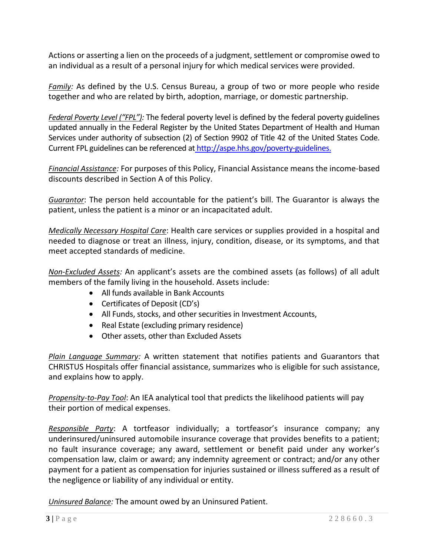Actions or asserting a lien on the proceeds of a judgment, settlement or compromise owed to an individual as a result of a personal injury for which medical services were provided.

*Family:* As defined by the U.S. Census Bureau, a group of two or more people who reside together and who are related by birth, adoption, marriage, or domestic partnership.

*Federal Poverty Level ("FPL"):* The federal poverty level is defined by the federal poverty guidelines updated annually in the Federal Register by the United States Department of Health and Human Services under authority of subsection (2) of Section 9902 of Title 42 of the United States Code. Current FPL guidelines can be referenced at [http://aspe.hhs.gov/poverty-guidelines.](http://aspe.hhs.gov/poverty-guidelines)

*Financial Assistance:* For purposes of this Policy, Financial Assistance means the income-based discounts described in Section A of this Policy.

*Guarantor*: The person held accountable for the patient's bill. The Guarantor is always the patient, unless the patient is a minor or an incapacitated adult.

*Medically Necessary Hospital Care*: Health care services or supplies provided in a hospital and needed to diagnose or treat an illness, injury, condition, disease, or its symptoms, and that meet accepted standards of medicine.

*Non-Excluded Assets:* An applicant's assets are the combined assets (as follows) of all adult members of the family living in the household. Assets include:

- All funds available in Bank Accounts
- Certificates of Deposit (CD's)
- All Funds, stocks, and other securities in Investment Accounts,
- Real Estate (excluding primary residence)
- Other assets, other than Excluded Assets

*Plain Language Summary:* A written statement that notifies patients and Guarantors that CHRISTUS Hospitals offer financial assistance, summarizes who is eligible for such assistance, and explains how to apply.

*Propensity-to-Pay Tool*: An IEA analytical tool that predicts the likelihood patients will pay their portion of medical expenses.

*Responsible Party*: A tortfeasor individually; a tortfeasor's insurance company; any underinsured/uninsured automobile insurance coverage that provides benefits to a patient; no fault insurance coverage; any award, settlement or benefit paid under any worker's compensation law, claim or award; any indemnity agreement or contract; and/or any other payment for a patient as compensation for injuries sustained or illness suffered as a result of the negligence or liability of any individual or entity.

*Uninsured Balance:* The amount owed by an Uninsured Patient.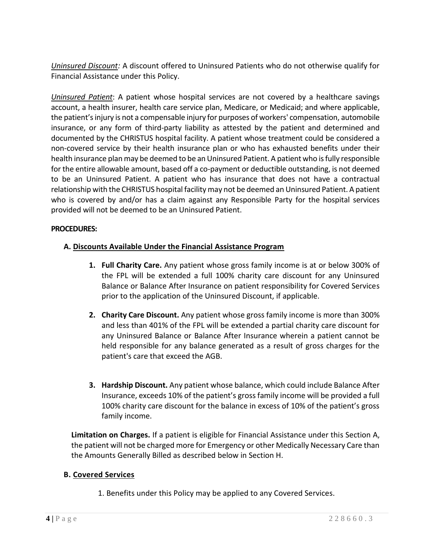*Uninsured Discount:* A discount offered to Uninsured Patients who do not otherwise qualify for Financial Assistance under this Policy.

*Uninsured Patient*: A patient whose hospital services are not covered by a healthcare savings account, a health insurer, health care service plan, Medicare, or Medicaid; and where applicable, the patient's injury is not a compensable injury for purposes of workers' compensation, automobile insurance, or any form of third-party liability as attested by the patient and determined and documented by the CHRISTUS hospital facility. A patient whose treatment could be considered a non-covered service by their health insurance plan or who has exhausted benefits under their health insurance plan may be deemed to be an Uninsured Patient. A patient who is fully responsible for the entire allowable amount, based off a co-payment or deductible outstanding, is not deemed to be an Uninsured Patient. A patient who has insurance that does not have a contractual relationship with the CHRISTUS hospital facility may not be deemed an Uninsured Patient. A patient who is covered by and/or has a claim against any Responsible Party for the hospital services provided will not be deemed to be an Uninsured Patient.

### **PROCEDURES:**

### **A. Discounts Available Under the Financial Assistance Program**

- **1. Full Charity Care.** Any patient whose gross family income is at or below 300% of the FPL will be extended a full 100% charity care discount for any Uninsured Balance or Balance After Insurance on patient responsibility for Covered Services prior to the application of the Uninsured Discount, if applicable.
- **2. Charity Care Discount.** Any patient whose gross family income is more than 300% and less than 401% of the FPL will be extended a partial charity care discount for any Uninsured Balance or Balance After Insurance wherein a patient cannot be held responsible for any balance generated as a result of gross charges for the patient's care that exceed the AGB.
- **3. Hardship Discount.** Any patient whose balance, which could include Balance After Insurance, exceeds 10% of the patient's gross family income will be provided a full 100% charity care discount for the balance in excess of 10% of the patient's gross family income.

**Limitation on Charges.** If a patient is eligible for Financial Assistance under this Section A, the patient will not be charged more for Emergency or other Medically Necessary Care than the Amounts Generally Billed as described below in Section H.

### **B. Covered Services**

1. Benefits under this Policy may be applied to any Covered Services.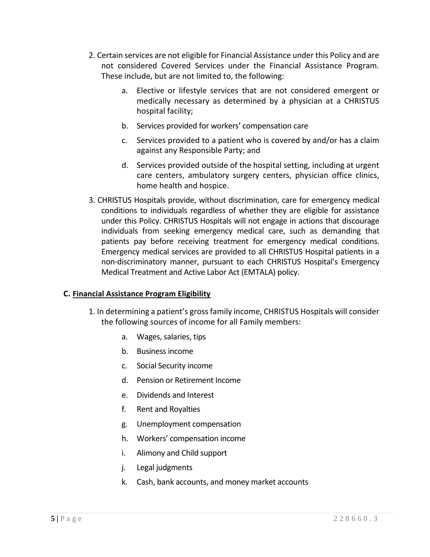- 2. Certain services are not eligible for Financial Assistance under this Policy and are not considered Covered Services under the Financial Assistance Program. These include, but are not limited to, the following:
	- a. Elective or lifestyle services that are not considered emergent or medically necessary as determined by a physician at a CHRISTUS hospital facility;
	- b. Services provided for workers' compensation care
	- c. Services provided to a patient who is covered by and/or has a claim against any Responsible Party; and
	- d. Services provided outside of the hospital setting, including at urgent care centers, ambulatory surgery centers, physician office clinics, home health and hospice.
- 3. CHRISTUS Hospitals provide, without discrimination, care for emergency medical conditions to individuals regardless of whether they are eligible for assistance under this Policy. CHRISTUS Hospitals will not engage in actions that discourage individuals from seeking emergency medical care, such as demanding that patients pay before receiving treatment for emergency medical conditions. Emergency medical services are provided to all CHRISTUS Hospital patients in a non-discriminatory manner, pursuant to each CHRISTUS Hospital's Emergency Medical Treatment and Active Labor Act (EMTALA) policy.

### **C. Financial Assistance Program Eligibility**

- 1. In determining a patient's gross family income, CHRISTUS Hospitals will consider the following sources of income for all Family members:
	- a. Wages, salaries, tips
	- b. Business income
	- c. Social Security income
	- d. Pension or Retirement Income
	- e. Dividends and Interest
	- f. Rent and Royalties
	- g. Unemployment compensation
	- h. Workers' compensation income
	- i. Alimony and Child support
	- j. Legal judgments
	- k. Cash, bank accounts, and money market accounts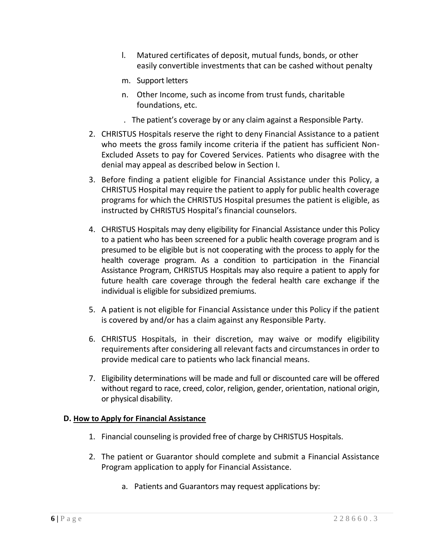- l. Matured certificates of deposit, mutual funds, bonds, or other easily convertible investments that can be cashed without penalty
- m. Support letters
- n. Other Income, such as income from trust funds, charitable foundations, etc.
- . The patient's coverage by or any claim against a Responsible Party.
- 2. CHRISTUS Hospitals reserve the right to deny Financial Assistance to a patient who meets the gross family income criteria if the patient has sufficient Non-Excluded Assets to pay for Covered Services. Patients who disagree with the denial may appeal as described below in Section I.
- 3. Before finding a patient eligible for Financial Assistance under this Policy, a CHRISTUS Hospital may require the patient to apply for public health coverage programs for which the CHRISTUS Hospital presumes the patient is eligible, as instructed by CHRISTUS Hospital's financial counselors.
- 4. CHRISTUS Hospitals may deny eligibility for Financial Assistance under this Policy to a patient who has been screened for a public health coverage program and is presumed to be eligible but is not cooperating with the process to apply for the health coverage program. As a condition to participation in the Financial Assistance Program, CHRISTUS Hospitals may also require a patient to apply for future health care coverage through the federal health care exchange if the individual is eligible for subsidized premiums.
- 5. A patient is not eligible for Financial Assistance under this Policy if the patient is covered by and/or has a claim against any Responsible Party.
- 6. CHRISTUS Hospitals, in their discretion, may waive or modify eligibility requirements after considering all relevant facts and circumstances in order to provide medical care to patients who lack financial means.
- 7. Eligibility determinations will be made and full or discounted care will be offered without regard to race, creed, color, religion, gender, orientation, national origin, or physical disability.

#### **D. How to Apply for Financial Assistance**

- 1. Financial counseling is provided free of charge by CHRISTUS Hospitals.
- 2. The patient or Guarantor should complete and submit a Financial Assistance Program application to apply for Financial Assistance.
	- a. Patients and Guarantors may request applications by: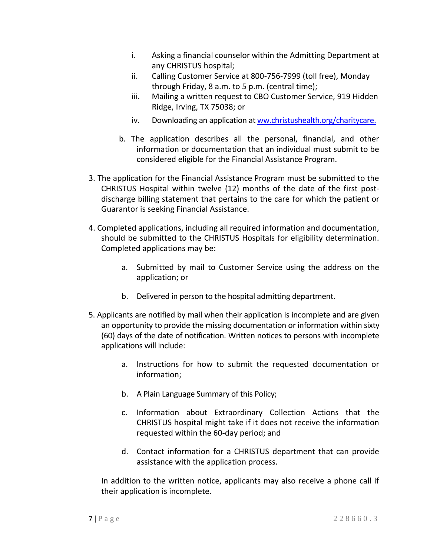- i. Asking a financial counselor within the Admitting Department at any CHRISTUS hospital;
- ii. Calling Customer Service at 800-756-7999 (toll free), Monday through Friday, 8 a.m. to 5 p.m. (central time);
- iii. Mailing a written request to CBO Customer Service, 919 Hidden Ridge, Irving, TX 75038; or
- iv. Downloading an application a[t ww.christushealth.org/charitycare.](http://ww.christushealth.org/charitycare.)
- b. The application describes all the personal, financial, and other information or documentation that an individual must submit to be considered eligible for the Financial Assistance Program.
- 3. The application for the Financial Assistance Program must be submitted to the CHRISTUS Hospital within twelve (12) months of the date of the first postdischarge billing statement that pertains to the care for which the patient or Guarantor is seeking Financial Assistance.
- 4. Completed applications, including all required information and documentation, should be submitted to the CHRISTUS Hospitals for eligibility determination. Completed applications may be:
	- a. Submitted by mail to Customer Service using the address on the application; or
	- b. Delivered in person to the hospital admitting department.
- 5. Applicants are notified by mail when their application is incomplete and are given an opportunity to provide the missing documentation or information within sixty (60) days of the date of notification. Written notices to persons with incomplete applications will include:
	- a. Instructions for how to submit the requested documentation or information;
	- b. A Plain Language Summary of this Policy;
	- c. Information about Extraordinary Collection Actions that the CHRISTUS hospital might take if it does not receive the information requested within the 60-day period; and
	- d. Contact information for a CHRISTUS department that can provide assistance with the application process.

In addition to the written notice, applicants may also receive a phone call if their application is incomplete.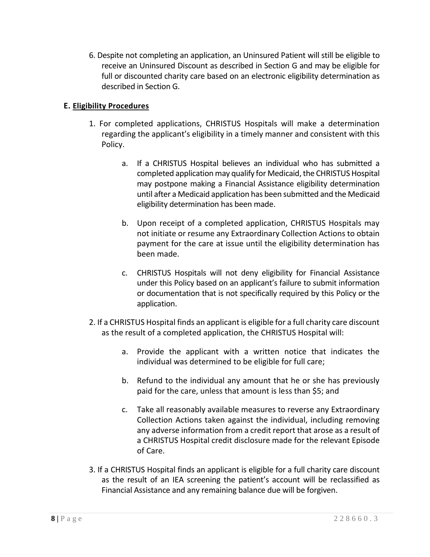6. Despite not completing an application, an Uninsured Patient will still be eligible to receive an Uninsured Discount as described in Section G and may be eligible for full or discounted charity care based on an electronic eligibility determination as described in Section G.

## **E. Eligibility Procedures**

- 1. For completed applications, CHRISTUS Hospitals will make a determination regarding the applicant's eligibility in a timely manner and consistent with this Policy.
	- a. If a CHRISTUS Hospital believes an individual who has submitted a completed application may qualify for Medicaid, the CHRISTUS Hospital may postpone making a Financial Assistance eligibility determination until after a Medicaid application has been submitted and the Medicaid eligibility determination has been made.
	- b. Upon receipt of a completed application, CHRISTUS Hospitals may not initiate or resume any Extraordinary Collection Actions to obtain payment for the care at issue until the eligibility determination has been made.
	- c. CHRISTUS Hospitals will not deny eligibility for Financial Assistance under this Policy based on an applicant's failure to submit information or documentation that is not specifically required by this Policy or the application.
- 2. If a CHRISTUS Hospital finds an applicant is eligible for a full charity care discount as the result of a completed application, the CHRISTUS Hospital will:
	- a. Provide the applicant with a written notice that indicates the individual was determined to be eligible for full care;
	- b. Refund to the individual any amount that he or she has previously paid for the care, unless that amount is less than \$5; and
	- c. Take all reasonably available measures to reverse any Extraordinary Collection Actions taken against the individual, including removing any adverse information from a credit report that arose as a result of a CHRISTUS Hospital credit disclosure made for the relevant Episode of Care.
- 3. If a CHRISTUS Hospital finds an applicant is eligible for a full charity care discount as the result of an IEA screening the patient's account will be reclassified as Financial Assistance and any remaining balance due will be forgiven.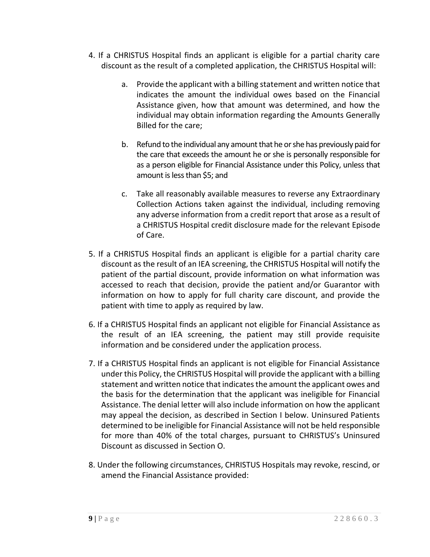- 4. If a CHRISTUS Hospital finds an applicant is eligible for a partial charity care discount as the result of a completed application, the CHRISTUS Hospital will:
	- a. Provide the applicant with a billing statement and written notice that indicates the amount the individual owes based on the Financial Assistance given, how that amount was determined, and how the individual may obtain information regarding the Amounts Generally Billed for the care;
	- b. Refund to the individual any amount that he or she has previously paid for the care that exceeds the amount he or she is personally responsible for as a person eligible for Financial Assistance under this Policy, unless that amount is less than \$5; and
	- c. Take all reasonably available measures to reverse any Extraordinary Collection Actions taken against the individual, including removing any adverse information from a credit report that arose as a result of a CHRISTUS Hospital credit disclosure made for the relevant Episode of Care.
- 5. If a CHRISTUS Hospital finds an applicant is eligible for a partial charity care discount as the result of an IEA screening, the CHRISTUS Hospital will notify the patient of the partial discount, provide information on what information was accessed to reach that decision, provide the patient and/or Guarantor with information on how to apply for full charity care discount, and provide the patient with time to apply as required by law.
- 6. If a CHRISTUS Hospital finds an applicant not eligible for Financial Assistance as the result of an IEA screening, the patient may still provide requisite information and be considered under the application process.
- 7. If a CHRISTUS Hospital finds an applicant is not eligible for Financial Assistance under this Policy, the CHRISTUS Hospital will provide the applicant with a billing statement and written notice that indicates the amount the applicant owes and the basis for the determination that the applicant was ineligible for Financial Assistance. The denial letter will also include information on how the applicant may appeal the decision, as described in Section I below. Uninsured Patients determined to be ineligible for Financial Assistance will not be held responsible for more than 40% of the total charges, pursuant to CHRISTUS's Uninsured Discount as discussed in Section O.
- 8. Under the following circumstances, CHRISTUS Hospitals may revoke, rescind, or amend the Financial Assistance provided: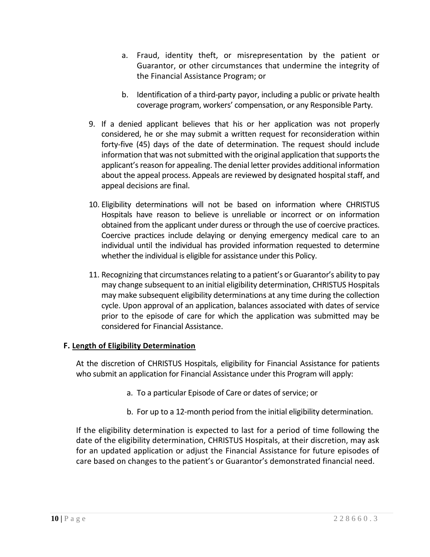- a. Fraud, identity theft, or misrepresentation by the patient or Guarantor, or other circumstances that undermine the integrity of the Financial Assistance Program; or
- b. Identification of a third-party payor, including a public or private health coverage program, workers' compensation, or any Responsible Party.
- 9. If a denied applicant believes that his or her application was not properly considered, he or she may submit a written request for reconsideration within forty-five (45) days of the date of determination. The request should include information that was not submitted with the original application that supports the applicant's reason for appealing. The denial letter provides additional information about the appeal process. Appeals are reviewed by designated hospital staff, and appeal decisions are final.
- 10. Eligibility determinations will not be based on information where CHRISTUS Hospitals have reason to believe is unreliable or incorrect or on information obtained from the applicant under duress or through the use of coercive practices. Coercive practices include delaying or denying emergency medical care to an individual until the individual has provided information requested to determine whether the individual is eligible for assistance under this Policy.
- 11. Recognizing that circumstances relating to a patient's or Guarantor's ability to pay may change subsequent to an initial eligibility determination, CHRISTUS Hospitals may make subsequent eligibility determinations at any time during the collection cycle. Upon approval of an application, balances associated with dates of service prior to the episode of care for which the application was submitted may be considered for Financial Assistance.

## **F. Length of Eligibility Determination**

At the discretion of CHRISTUS Hospitals, eligibility for Financial Assistance for patients who submit an application for Financial Assistance under this Program will apply:

- a. To a particular Episode of Care or dates of service; or
- b. For up to a 12-month period from the initial eligibility determination.

If the eligibility determination is expected to last for a period of time following the date of the eligibility determination, CHRISTUS Hospitals, at their discretion, may ask for an updated application or adjust the Financial Assistance for future episodes of care based on changes to the patient's or Guarantor's demonstrated financial need.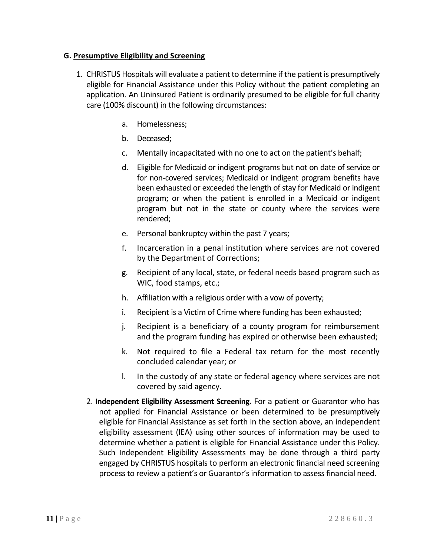### **G. Presumptive Eligibility and Screening**

- 1. CHRISTUS Hospitals will evaluate a patient to determine if the patient is presumptively eligible for Financial Assistance under this Policy without the patient completing an application. An Uninsured Patient is ordinarily presumed to be eligible for full charity care (100% discount) in the following circumstances:
	- a. Homelessness;
	- b. Deceased;
	- c. Mentally incapacitated with no one to act on the patient's behalf;
	- d. Eligible for Medicaid or indigent programs but not on date of service or for non-covered services; Medicaid or indigent program benefits have been exhausted or exceeded the length of stay for Medicaid or indigent program; or when the patient is enrolled in a Medicaid or indigent program but not in the state or county where the services were rendered;
	- e. Personal bankruptcy within the past 7 years;
	- f. Incarceration in a penal institution where services are not covered by the Department of Corrections;
	- g. Recipient of any local, state, or federal needs based program such as WIC, food stamps, etc.;
	- h. Affiliation with a religious order with a vow of poverty;
	- i. Recipient is a Victim of Crime where funding has been exhausted;
	- j. Recipient is a beneficiary of a county program for reimbursement and the program funding has expired or otherwise been exhausted;
	- k. Not required to file a Federal tax return for the most recently concluded calendar year; or
	- l. In the custody of any state or federal agency where services are not covered by said agency.
	- 2. **Independent Eligibility Assessment Screening.** For a patient or Guarantor who has not applied for Financial Assistance or been determined to be presumptively eligible for Financial Assistance as set forth in the section above, an independent eligibility assessment (IEA) using other sources of information may be used to determine whether a patient is eligible for Financial Assistance under this Policy. Such Independent Eligibility Assessments may be done through a third party engaged by CHRISTUS hospitals to perform an electronic financial need screening process to review a patient's or Guarantor's information to assess financial need.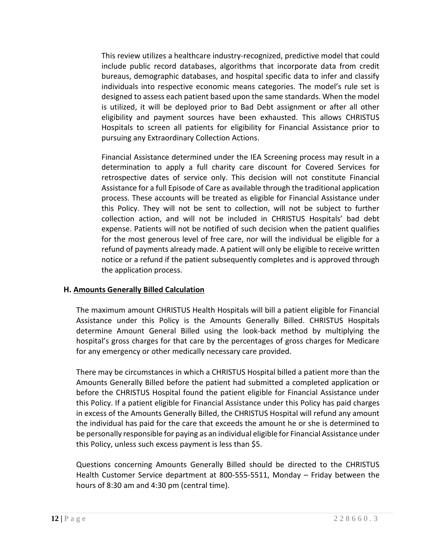This review utilizes a healthcare industry-recognized, predictive model that could include public record databases, algorithms that incorporate data from credit bureaus, demographic databases, and hospital specific data to infer and classify individuals into respective economic means categories. The model's rule set is designed to assess each patient based upon the same standards. When the model is utilized, it will be deployed prior to Bad Debt assignment or after all other eligibility and payment sources have been exhausted. This allows CHRISTUS Hospitals to screen all patients for eligibility for Financial Assistance prior to pursuing any Extraordinary Collection Actions.

Financial Assistance determined under the IEA Screening process may result in a determination to apply a full charity care discount for Covered Services for retrospective dates of service only. This decision will not constitute Financial Assistance for a full Episode of Care as available through the traditional application process. These accounts will be treated as eligible for Financial Assistance under this Policy. They will not be sent to collection, will not be subject to further collection action, and will not be included in CHRISTUS Hospitals' bad debt expense. Patients will not be notified of such decision when the patient qualifies for the most generous level of free care, nor will the individual be eligible for a refund of payments already made. A patient will only be eligible to receive written notice or a refund if the patient subsequently completes and is approved through the application process.

### **H. Amounts Generally Billed Calculation**

The maximum amount CHRISTUS Health Hospitals will bill a patient eligible for Financial Assistance under this Policy is the Amounts Generally Billed. CHRISTUS Hospitals determine Amount General Billed using the look-back method by multiplying the hospital's gross charges for that care by the percentages of gross charges for Medicare for any emergency or other medically necessary care provided.

There may be circumstances in which a CHRISTUS Hospital billed a patient more than the Amounts Generally Billed before the patient had submitted a completed application or before the CHRISTUS Hospital found the patient eligible for Financial Assistance under this Policy. If a patient eligible for Financial Assistance under this Policy has paid charges in excess of the Amounts Generally Billed, the CHRISTUS Hospital will refund any amount the individual has paid for the care that exceeds the amount he or she is determined to be personally responsible for paying as an individual eligible for Financial Assistance under this Policy, unless such excess payment is less than \$5.

Questions concerning Amounts Generally Billed should be directed to the CHRISTUS Health Customer Service department at 800-555-5511, Monday – Friday between the hours of 8:30 am and 4:30 pm (central time).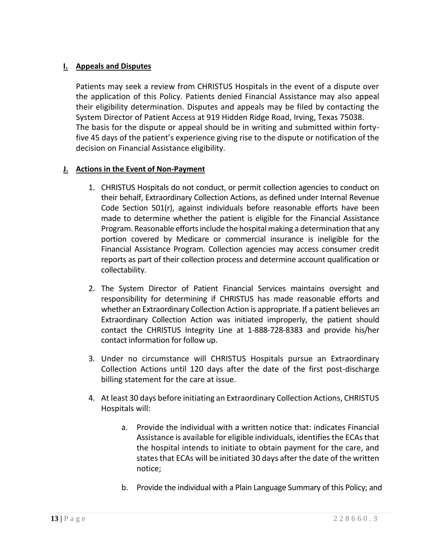### **I. Appeals and Disputes**

Patients may seek a review from CHRISTUS Hospitals in the event of a dispute over the application of this Policy. Patients denied Financial Assistance may also appeal their eligibility determination. Disputes and appeals may be filed by contacting the System Director of Patient Access at 919 Hidden Ridge Road, Irving, Texas 75038. The basis for the dispute or appeal should be in writing and submitted within fortyfive 45 days of the patient's experience giving rise to the dispute or notification of the decision on Financial Assistance eligibility.

### **J. Actions in the Event of Non-Payment**

- 1. CHRISTUS Hospitals do not conduct, or permit collection agencies to conduct on their behalf, Extraordinary Collection Actions, as defined under Internal Revenue Code Section 501(r), against individuals before reasonable efforts have been made to determine whether the patient is eligible for the Financial Assistance Program. Reasonable efforts include the hospital making a determination that any portion covered by Medicare or commercial insurance is ineligible for the Financial Assistance Program. Collection agencies may access consumer credit reports as part of their collection process and determine account qualification or collectability.
- 2. The System Director of Patient Financial Services maintains oversight and responsibility for determining if CHRISTUS has made reasonable efforts and whether an Extraordinary Collection Action is appropriate. If a patient believes an Extraordinary Collection Action was initiated improperly, the patient should contact the CHRISTUS Integrity Line at 1-888-728-8383 and provide his/her contact information for follow up.
- 3. Under no circumstance will CHRISTUS Hospitals pursue an Extraordinary Collection Actions until 120 days after the date of the first post-discharge billing statement for the care at issue.
- 4. At least 30 days before initiating an Extraordinary Collection Actions, CHRISTUS Hospitals will:
	- a. Provide the individual with a written notice that: indicates Financial Assistance is available for eligible individuals, identifies the ECAs that the hospital intends to initiate to obtain payment for the care, and states that ECAs will be initiated 30 days after the date of the written notice;
	- b. Provide the individual with a Plain Language Summary of this Policy; and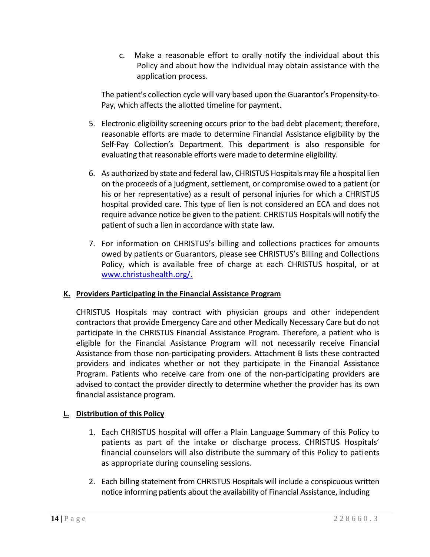c. Make a reasonable effort to orally notify the individual about this Policy and about how the individual may obtain assistance with the application process.

The patient's collection cycle will vary based upon the Guarantor's Propensity-to-Pay, which affects the allotted timeline for payment.

- 5. Electronic eligibility screening occurs prior to the bad debt placement; therefore, reasonable efforts are made to determine Financial Assistance eligibility by the Self-Pay Collection's Department. This department is also responsible for evaluating that reasonable efforts were made to determine eligibility.
- 6. As authorized by state and federal law, CHRISTUS Hospitals may file a hospital lien on the proceeds of a judgment, settlement, or compromise owed to a patient (or his or her representative) as a result of personal injuries for which a CHRISTUS hospital provided care. This type of lien is not considered an ECA and does not require advance notice be given to the patient. CHRISTUS Hospitals will notify the patient of such a lien in accordance with state law.
- 7. For information on CHRISTUS's billing and collections practices for amounts owed by patients or Guarantors, please see CHRISTUS's Billing and Collections Policy, which is available free of charge at each CHRISTUS hospital, or at [www.christushealth.org/.](http://www.christushealth.org/)

## **K. Providers Participating in the Financial Assistance Program**

CHRISTUS Hospitals may contract with physician groups and other independent contractors that provide Emergency Care and other Medically Necessary Care but do not participate in the CHRISTUS Financial Assistance Program. Therefore, a patient who is eligible for the Financial Assistance Program will not necessarily receive Financial Assistance from those non-participating providers. Attachment B lists these contracted providers and indicates whether or not they participate in the Financial Assistance Program. Patients who receive care from one of the non-participating providers are advised to contact the provider directly to determine whether the provider has its own financial assistance program.

# **L. Distribution of this Policy**

- 1. Each CHRISTUS hospital will offer a Plain Language Summary of this Policy to patients as part of the intake or discharge process. CHRISTUS Hospitals' financial counselors will also distribute the summary of this Policy to patients as appropriate during counseling sessions.
- 2. Each billing statement from CHRISTUS Hospitals will include a conspicuous written notice informing patients about the availability of Financial Assistance, including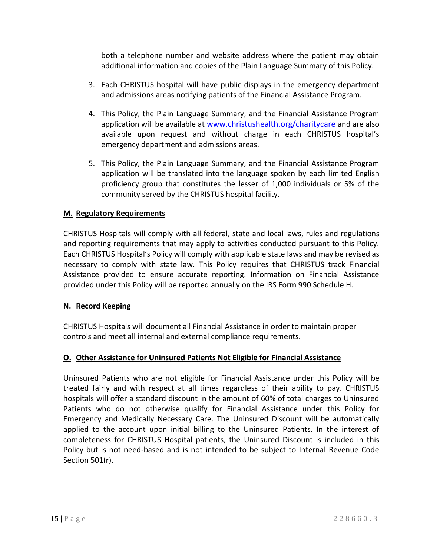both a telephone number and website address where the patient may obtain additional information and copies of the Plain Language Summary of this Policy.

- 3. Each CHRISTUS hospital will have public displays in the emergency department and admissions areas notifying patients of the Financial Assistance Program.
- 4. This Policy, the Plain Language Summary, and the Financial Assistance Program application will be available at [www.christushealth.org/charitycare](http://www.christushealth.org/charitycare) and are also available upon request and without charge in each CHRISTUS hospital's emergency department and admissions areas.
- 5. This Policy, the Plain Language Summary, and the Financial Assistance Program application will be translated into the language spoken by each limited English proficiency group that constitutes the lesser of 1,000 individuals or 5% of the community served by the CHRISTUS hospital facility.

### **M. Regulatory Requirements**

CHRISTUS Hospitals will comply with all federal, state and local laws, rules and regulations and reporting requirements that may apply to activities conducted pursuant to this Policy. Each CHRISTUS Hospital's Policy will comply with applicable state laws and may be revised as necessary to comply with state law. This Policy requires that CHRISTUS track Financial Assistance provided to ensure accurate reporting. Information on Financial Assistance provided under this Policy will be reported annually on the IRS Form 990 Schedule H.

### **N. Record Keeping**

CHRISTUS Hospitals will document all Financial Assistance in order to maintain proper controls and meet all internal and external compliance requirements.

## **O. Other Assistance for Uninsured Patients Not Eligible for Financial Assistance**

Uninsured Patients who are not eligible for Financial Assistance under this Policy will be treated fairly and with respect at all times regardless of their ability to pay. CHRISTUS hospitals will offer a standard discount in the amount of 60% of total charges to Uninsured Patients who do not otherwise qualify for Financial Assistance under this Policy for Emergency and Medically Necessary Care. The Uninsured Discount will be automatically applied to the account upon initial billing to the Uninsured Patients. In the interest of completeness for CHRISTUS Hospital patients, the Uninsured Discount is included in this Policy but is not need-based and is not intended to be subject to Internal Revenue Code Section 501(r).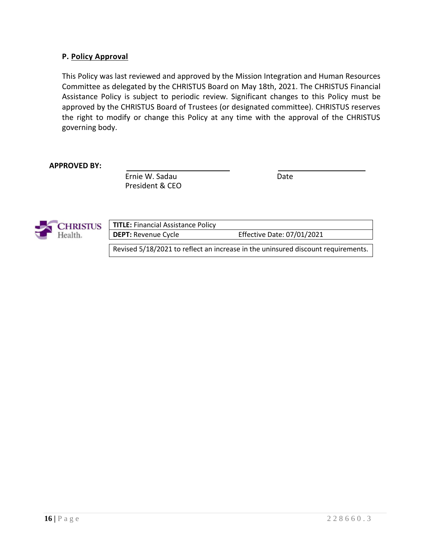### **P. Policy Approval**

This Policy was last reviewed and approved by the Mission Integration and Human Resources Committee as delegated by the CHRISTUS Board on May 18th, 2021. The CHRISTUS Financial Assistance Policy is subject to periodic review. Significant changes to this Policy must be approved by the CHRISTUS Board of Trustees (or designated committee). CHRISTUS reserves the right to modify or change this Policy at any time with the approval of the CHRISTUS governing body.

#### **APPROVED BY:**

Ernie W. Sadau Date President & CEO



| <b>TITLE: Financial Assistance Policy</b> |                                                                                  |
|-------------------------------------------|----------------------------------------------------------------------------------|
| <b>DEPT: Revenue Cycle</b>                | <b>Effective Date: 07/01/2021</b>                                                |
|                                           | Revised 5/18/2021 to reflect an increase in the uninsured discount requirements. |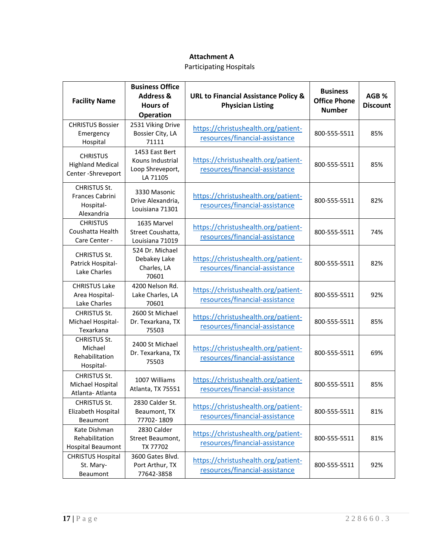#### **Attachment A**

Participating Hospitals

| <b>Facility Name</b>                                              | <b>Business Office</b><br><b>Address &amp;</b><br><b>Hours of</b><br><b>Operation</b> | <b>URL to Financial Assistance Policy &amp;</b><br><b>Physician Listing</b> | <b>Business</b><br><b>Office Phone</b><br><b>Number</b> | AGB %<br><b>Discount</b> |
|-------------------------------------------------------------------|---------------------------------------------------------------------------------------|-----------------------------------------------------------------------------|---------------------------------------------------------|--------------------------|
| <b>CHRISTUS Bossier</b><br>Emergency<br>Hospital                  | 2531 Viking Drive<br>Bossier City, LA<br>71111                                        | https://christushealth.org/patient-<br>resources/financial-assistance       | 800-555-5511                                            | 85%                      |
| <b>CHRISTUS</b><br><b>Highland Medical</b><br>Center-Shreveport   | 1453 East Bert<br>Kouns Industrial<br>Loop Shreveport,<br>LA 71105                    | https://christushealth.org/patient-<br>resources/financial-assistance       | 800-555-5511                                            | 85%                      |
| <b>CHRISTUS St.</b><br>Frances Cabrini<br>Hospital-<br>Alexandria | 3330 Masonic<br>Drive Alexandria,<br>Louisiana 71301                                  | https://christushealth.org/patient-<br>resources/financial-assistance       | 800-555-5511                                            | 82%                      |
| <b>CHRISTUS</b><br>Coushatta Health<br>Care Center -              | 1635 Marvel<br>Street Coushatta,<br>Louisiana 71019                                   | https://christushealth.org/patient-<br>resources/financial-assistance       | 800-555-5511                                            | 74%                      |
| <b>CHRISTUS St.</b><br>Patrick Hospital-<br>Lake Charles          | 524 Dr. Michael<br>Debakey Lake<br>Charles, LA<br>70601                               | https://christushealth.org/patient-<br>resources/financial-assistance       | 800-555-5511                                            | 82%                      |
| <b>CHRISTUS Lake</b><br>Area Hospital-<br>Lake Charles            | 4200 Nelson Rd.<br>Lake Charles, LA<br>70601                                          | https://christushealth.org/patient-<br>resources/financial-assistance       | 800-555-5511                                            | 92%                      |
| <b>CHRISTUS St.</b><br>Michael Hospital-<br>Texarkana             | 2600 St Michael<br>Dr. Texarkana, TX<br>75503                                         | https://christushealth.org/patient-<br>resources/financial-assistance       | 800-555-5511                                            | 85%                      |
| <b>CHRISTUS St.</b><br>Michael<br>Rehabilitation<br>Hospital-     | 2400 St Michael<br>Dr. Texarkana, TX<br>75503                                         | https://christushealth.org/patient-<br>resources/financial-assistance       | 800-555-5511                                            | 69%                      |
| <b>CHRISTUS St.</b><br>Michael Hospital<br>Atlanta-Atlanta        | 1007 Williams<br>Atlanta, TX 75551                                                    | https://christushealth.org/patient-<br>resources/financial-assistance       | 800-555-5511                                            | 85%                      |
| CHRISTUS St.<br>Elizabeth Hospital<br>Beaumont                    | 2830 Calder St.<br>Beaumont, TX<br>77702-1809                                         | https://christushealth.org/patient-<br>resources/financial-assistance       | 800-555-5511                                            | 81%                      |
| Kate Dishman<br>Rehabilitation<br>Hospital Beaumont               | 2830 Calder<br>Street Beaumont,<br>TX 77702                                           | https://christushealth.org/patient-<br>resources/financial-assistance       | 800-555-5511                                            | 81%                      |
| <b>CHRISTUS Hospital</b><br>St. Mary-<br>Beaumont                 | 3600 Gates Blvd.<br>Port Arthur, TX<br>77642-3858                                     | https://christushealth.org/patient-<br>resources/financial-assistance       | 800-555-5511                                            | 92%                      |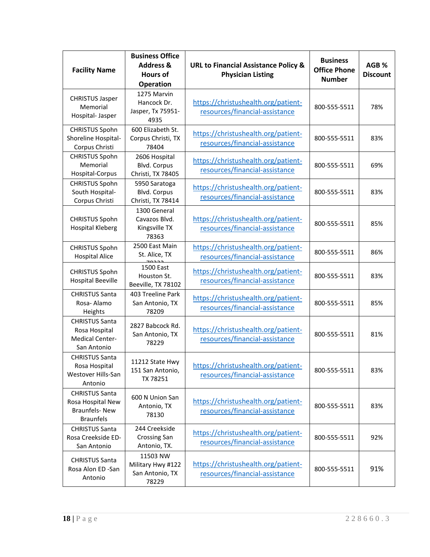| <b>Facility Name</b>                                                                   | <b>Business Office</b><br><b>Address &amp;</b><br><b>Hours of</b><br><b>Operation</b> | <b>URL to Financial Assistance Policy &amp;</b><br><b>Physician Listing</b> | <b>Business</b><br><b>Office Phone</b><br><b>Number</b> | AGB %<br><b>Discount</b> |
|----------------------------------------------------------------------------------------|---------------------------------------------------------------------------------------|-----------------------------------------------------------------------------|---------------------------------------------------------|--------------------------|
| <b>CHRISTUS Jasper</b><br>Memorial<br>Hospital- Jasper                                 | 1275 Marvin<br>Hancock Dr.<br>Jasper, Tx 75951-<br>4935                               | https://christushealth.org/patient-<br>resources/financial-assistance       | 800-555-5511                                            | 78%                      |
| <b>CHRISTUS Spohn</b><br>Shoreline Hospital-<br>Corpus Christi                         | 600 Elizabeth St.<br>Corpus Christi, TX<br>78404                                      | https://christushealth.org/patient-<br>resources/financial-assistance       | 800-555-5511                                            | 83%                      |
| <b>CHRISTUS Spohn</b><br>Memorial<br>Hospital-Corpus                                   | 2606 Hospital<br>Blvd. Corpus<br>Christi, TX 78405                                    | https://christushealth.org/patient-<br>resources/financial-assistance       | 800-555-5511                                            | 69%                      |
| <b>CHRISTUS Spohn</b><br>South Hospital-<br>Corpus Christi                             | 5950 Saratoga<br>Blvd. Corpus<br>Christi, TX 78414                                    | https://christushealth.org/patient-<br>resources/financial-assistance       | 800-555-5511                                            | 83%                      |
| <b>CHRISTUS Spohn</b><br><b>Hospital Kleberg</b>                                       | 1300 General<br>Cavazos Blvd.<br>Kingsville TX<br>78363                               | https://christushealth.org/patient-<br>resources/financial-assistance       | 800-555-5511                                            | 85%                      |
| <b>CHRISTUS Spohn</b><br><b>Hospital Alice</b>                                         | 2500 East Main<br>St. Alice, TX                                                       | https://christushealth.org/patient-<br>resources/financial-assistance       | 800-555-5511                                            | 86%                      |
| <b>CHRISTUS Spohn</b><br><b>Hospital Beeville</b>                                      | 1500 East<br>Houston St.<br>Beeville, TX 78102                                        | https://christushealth.org/patient-<br>resources/financial-assistance       | 800-555-5511                                            | 83%                      |
| <b>CHRISTUS Santa</b><br>Rosa-Alamo<br>Heights                                         | 403 Treeline Park<br>San Antonio, TX<br>78209                                         | https://christushealth.org/patient-<br>resources/financial-assistance       | 800-555-5511                                            | 85%                      |
| <b>CHRISTUS Santa</b><br>Rosa Hospital<br><b>Medical Center-</b><br>San Antonio        | 2827 Babcock Rd.<br>San Antonio, TX<br>78229                                          | https://christushealth.org/patient-<br>resources/financial-assistance       | 800-555-5511                                            | 81%                      |
| <b>CHRISTUS Santa</b><br>Rosa Hospital<br>Westover Hills-San<br>Antonio                | 11212 State Hwy<br>151 San Antonio,<br>TX 78251                                       | https://christushealth.org/patient-<br>resources/financial-assistance       | 800-555-5511                                            | 83%                      |
| <b>CHRISTUS Santa</b><br>Rosa Hospital New<br><b>Braunfels-New</b><br><b>Braunfels</b> | 600 N Union San<br>Antonio, TX<br>78130                                               | https://christushealth.org/patient-<br>resources/financial-assistance       | 800-555-5511                                            | 83%                      |
| <b>CHRISTUS Santa</b><br>Rosa Creekside ED-<br>San Antonio                             | 244 Creekside<br><b>Crossing San</b><br>Antonio, TX.                                  | https://christushealth.org/patient-<br>resources/financial-assistance       | 800-555-5511                                            | 92%                      |
| <b>CHRISTUS Santa</b><br>Rosa Alon ED -San<br>Antonio                                  | 11503 NW<br>Military Hwy #122<br>San Antonio, TX<br>78229                             | https://christushealth.org/patient-<br>resources/financial-assistance       | 800-555-5511                                            | 91%                      |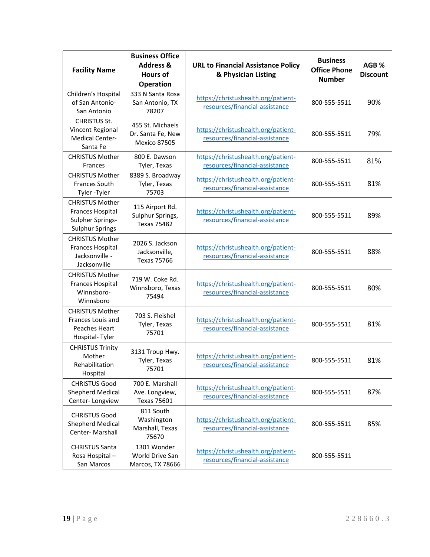| <b>Facility Name</b>                                                                            | <b>Business Office</b><br><b>Address &amp;</b><br><b>Hours of</b><br><b>Operation</b> | <b>URL to Financial Assistance Policy</b><br>& Physician Listing      | <b>Business</b><br><b>Office Phone</b><br><b>Number</b> | AGB %<br><b>Discount</b> |
|-------------------------------------------------------------------------------------------------|---------------------------------------------------------------------------------------|-----------------------------------------------------------------------|---------------------------------------------------------|--------------------------|
| Children's Hospital<br>of San Antonio-<br>San Antonio                                           | 333 N Santa Rosa<br>San Antonio, TX<br>78207                                          | https://christushealth.org/patient-<br>resources/financial-assistance | 800-555-5511                                            | 90%                      |
| <b>CHRISTUS St.</b><br>Vincent Regional<br><b>Medical Center-</b><br>Santa Fe                   | 455 St. Michaels<br>Dr. Santa Fe, New<br><b>Mexico 87505</b>                          | https://christushealth.org/patient-<br>resources/financial-assistance | 800-555-5511                                            | 79%                      |
| <b>CHRISTUS Mother</b><br><b>Frances</b>                                                        | 800 E. Dawson<br>Tyler, Texas                                                         | https://christushealth.org/patient-<br>resources/financial-assistance | 800-555-5511                                            | 81%                      |
| <b>CHRISTUS Mother</b><br>Frances South<br>Tyler-Tyler                                          | 8389 S. Broadway<br>Tyler, Texas<br>75703                                             | https://christushealth.org/patient-<br>resources/financial-assistance | 800-555-5511                                            | 81%                      |
| <b>CHRISTUS Mother</b><br><b>Frances Hospital</b><br>Sulpher Springs-<br><b>Sulphur Springs</b> | 115 Airport Rd.<br>Sulphur Springs,<br><b>Texas 75482</b>                             | https://christushealth.org/patient-<br>resources/financial-assistance | 800-555-5511                                            | 89%                      |
| <b>CHRISTUS Mother</b><br><b>Frances Hospital</b><br>Jacksonville -<br>Jacksonville             | 2026 S. Jackson<br>Jacksonville,<br><b>Texas 75766</b>                                | https://christushealth.org/patient-<br>resources/financial-assistance | 800-555-5511                                            | 88%                      |
| <b>CHRISTUS Mother</b><br><b>Frances Hospital</b><br>Winnsboro-<br>Winnsboro                    | 719 W. Coke Rd.<br>Winnsboro, Texas<br>75494                                          | https://christushealth.org/patient-<br>resources/financial-assistance | 800-555-5511                                            | 80%                      |
| <b>CHRISTUS Mother</b><br>Frances Louis and<br><b>Peaches Heart</b><br>Hospital-Tyler           | 703 S. Fleishel<br>Tyler, Texas<br>75701                                              | https://christushealth.org/patient-<br>resources/financial-assistance | 800-555-5511                                            | 81%                      |
| <b>CHRISTUS Trinity</b><br>Mother<br>Rehabilitation<br>Hospital                                 | 3131 Troup Hwy.<br>Tyler, Texas<br>75701                                              | https://christushealth.org/patient-<br>resources/financial-assistance | 800-555-5511                                            | 81%                      |
| <b>CHRISTUS Good</b><br><b>Shepherd Medical</b><br>Center-Longview                              | 700 E. Marshall<br>Ave. Longview,<br><b>Texas 75601</b>                               | https://christushealth.org/patient-<br>resources/financial-assistance | 800-555-5511                                            | 87%                      |
| <b>CHRISTUS Good</b><br><b>Shepherd Medical</b><br>Center-Marshall                              | 811 South<br>Washington<br>Marshall, Texas<br>75670                                   | https://christushealth.org/patient-<br>resources/financial-assistance | 800-555-5511                                            | 85%                      |
| <b>CHRISTUS Santa</b><br>Rosa Hospital-<br>San Marcos                                           | 1301 Wonder<br>World Drive San<br>Marcos, TX 78666                                    | https://christushealth.org/patient-<br>resources/financial-assistance | 800-555-5511                                            |                          |